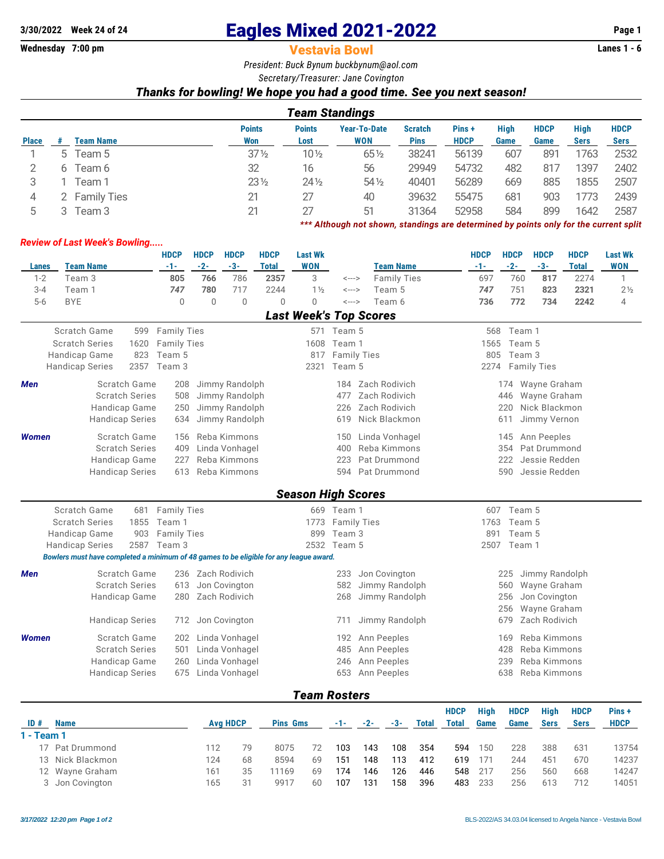# **3/30/2022** Week 24 of 24 **Eagles Mixed 2021-2022** Page 1<br>**Wednesday 7:00 pm Page 1 Vestavia Bowl**

**Vestavia Bowl** 

*President: Buck Bynum [buckbynum@aol.com](mailto:buckbynum@aol.com)*

*Secretary/Treasurer: Jane Covington*

## *Thanks for bowling! We hope you had a good time. See you next season!*

|              | Team Standings |               |                      |                       |                                                                                       |                               |                       |              |                     |                     |                            |  |  |
|--------------|----------------|---------------|----------------------|-----------------------|---------------------------------------------------------------------------------------|-------------------------------|-----------------------|--------------|---------------------|---------------------|----------------------------|--|--|
| <b>Place</b> |                | Team Name     | <b>Points</b><br>Won | <b>Points</b><br>Lost | <b>Year-To-Date</b><br><b>WON</b>                                                     | <b>Scratch</b><br><b>Pins</b> | Pins +<br><b>HDCP</b> | High<br>Game | <b>HDCP</b><br>Game | High<br><b>Sers</b> | <b>HDCP</b><br><b>Sers</b> |  |  |
|              |                | 5 Team 5      | $37\frac{1}{2}$      | $10\frac{1}{2}$       | 65 1/2                                                                                | 38241                         | 56139                 | 607          | 891                 | 1763                | 2532                       |  |  |
|              |                |               |                      |                       |                                                                                       |                               |                       |              |                     |                     |                            |  |  |
|              | 6              | Team 6        | 32                   | 16                    | 56                                                                                    | 29949                         | 54732                 | 482          | 817                 | 1397                | 2402                       |  |  |
|              |                | Геаm 1        | $23\frac{1}{2}$      | $24\frac{1}{2}$       | $54\%$                                                                                | 40401                         | 56289                 | 669          | 885                 | 1855                | 2507                       |  |  |
| 4            |                | 2 Family Ties | 21                   | 27                    | 40                                                                                    | 39632                         | 55475                 | 681          | 903                 | 1773                | 2439                       |  |  |
| 5            |                | Team 3        | 21                   | 27                    | 51                                                                                    | 31364                         | 52958                 | 584          | 899                 | 1642                | 2587                       |  |  |
|              |                |               |                      |                       | *** Although not shown, standings are determined by points only for the current split |                               |                       |              |                     |                     |                            |  |  |

### *Review of Last Week's Bowling.....*

|              |                                                                                        |                                               | <b>HDCP</b>                             | <b>HDCP</b> | <b>HDCP</b>       | <b>HDCP</b>    | <b>Last Wk</b>            |                            |                               | <b>HDCP</b>                          | <b>HDCP</b> | <b>HDCP</b>      | <b>HDCP</b>  | <b>Last Wk</b>                |  |  |
|--------------|----------------------------------------------------------------------------------------|-----------------------------------------------|-----------------------------------------|-------------|-------------------|----------------|---------------------------|----------------------------|-------------------------------|--------------------------------------|-------------|------------------|--------------|-------------------------------|--|--|
| Lanes        | <b>Team Name</b>                                                                       |                                               | $-1-$                                   | $-2-$       | $-3-$             | <b>Total</b>   | <b>WON</b>                |                            | <b>Team Name</b>              | $-1-$                                | $-2-$       | $-3-$            | <b>Total</b> | <b>WON</b>                    |  |  |
| $1 - 2$      | Team 3                                                                                 |                                               | 805                                     | 766         | 786               | 2357           | 3                         | <--->                      | <b>Family Ties</b>            | 697                                  | 760         | 817              | 2274         | $\mathbf{1}$                  |  |  |
| $3 - 4$      | Team 1                                                                                 |                                               | 747                                     | 780         | 717               | 2244           | $1\frac{1}{2}$            | $\leftarrow$ --->          | Team 5                        | 747                                  | 751         | 823              | 2321         | 2 <sup>1</sup> / <sub>2</sub> |  |  |
| $5-6$        | <b>BYE</b>                                                                             |                                               | $\mathbf{0}$                            | $\mathbf 0$ | 0                 | $\overline{0}$ | 0                         | $\leftarrow$ $\rightarrow$ | Team 6                        | 736                                  | 772         | 734              | 2242         | $\overline{4}$                |  |  |
|              |                                                                                        |                                               |                                         |             |                   |                |                           |                            | <b>Last Week's Top Scores</b> |                                      |             |                  |              |                               |  |  |
|              | <b>Scratch Game</b>                                                                    | 599                                           | <b>Family Ties</b>                      |             |                   |                |                           | 571 Team 5                 |                               | 568                                  | Team 1      |                  |              |                               |  |  |
|              | <b>Scratch Series</b>                                                                  | 1620                                          | <b>Family Ties</b>                      |             |                   |                |                           | 1608 Team 1                |                               | 1565                                 | Team 5      |                  |              |                               |  |  |
|              | Handicap Game                                                                          | 823                                           | Team 5                                  |             |                   |                | 817                       | <b>Family Ties</b>         |                               | 805                                  | Team 3      |                  |              |                               |  |  |
|              | <b>Handicap Series</b>                                                                 | 2357                                          | Team 3                                  |             |                   |                | 2321                      | Team 5                     |                               |                                      |             | 2274 Family Ties |              |                               |  |  |
| Men          |                                                                                        | Scratch Game                                  | 208                                     |             | Jimmy Randolph    |                |                           | 184                        | Zach Rodivich                 |                                      |             | 174 Wayne Graham |              |                               |  |  |
|              |                                                                                        | <b>Scratch Series</b>                         | 508                                     |             | Jimmy Randolph    |                |                           | 477                        | Zach Rodivich                 |                                      | 446         | Wayne Graham     |              |                               |  |  |
|              |                                                                                        | Handicap Game                                 | 250                                     |             |                   |                |                           | 226                        | Zach Rodivich                 |                                      | 220         | Nick Blackmon    |              |                               |  |  |
|              |                                                                                        | <b>Handicap Series</b>                        | Jimmy Randolph<br>Jimmy Randolph<br>634 |             |                   |                |                           | 619                        | Nick Blackmon                 | Jimmy Vernon<br>611                  |             |                  |              |                               |  |  |
|              |                                                                                        |                                               |                                         |             |                   |                |                           |                            |                               |                                      |             |                  |              |                               |  |  |
| <b>Women</b> |                                                                                        | Scratch Game                                  | 156                                     |             | Reba Kimmons      |                |                           | 150                        | Linda Vonhagel                |                                      | 145         | Ann Peeples      |              |                               |  |  |
|              |                                                                                        | <b>Scratch Series</b><br>409<br>Handicap Game |                                         |             | Linda Vonhagel    |                |                           | 400                        | Reba Kimmons                  | Pat Drummond<br>354<br>Jessie Redden |             |                  |              |                               |  |  |
|              |                                                                                        |                                               | 227                                     |             | Reba Kimmons      |                |                           | 223                        | Pat Drummond                  |                                      | 222         |                  |              |                               |  |  |
|              |                                                                                        | <b>Handicap Series</b>                        | 613                                     |             | Reba Kimmons      |                |                           | 594                        | Pat Drummond                  |                                      | 590         | Jessie Redden    |              |                               |  |  |
|              |                                                                                        |                                               |                                         |             |                   |                | <b>Season High Scores</b> |                            |                               |                                      |             |                  |              |                               |  |  |
|              | <b>Scratch Game</b>                                                                    | 681                                           | <b>Family Ties</b>                      |             |                   |                |                           | 669 Team 1                 |                               |                                      | 607 Team 5  |                  |              |                               |  |  |
|              | <b>Scratch Series</b>                                                                  | 1855                                          | Team 1                                  |             |                   |                | 1773                      | <b>Family Ties</b>         |                               | 1763                                 | Team 5      |                  |              |                               |  |  |
|              | Handicap Game                                                                          | 903                                           | <b>Family Ties</b>                      |             |                   |                | 899                       | Team 3                     |                               | 891                                  |             |                  |              |                               |  |  |
|              | <b>Handicap Series</b>                                                                 | 2587                                          | Team 3                                  |             |                   |                |                           | 2532 Team 5                |                               | 2507<br>Team 1                       |             |                  |              |                               |  |  |
|              | Bowlers must have completed a minimum of 48 games to be eligible for any league award. |                                               |                                         |             |                   |                |                           |                            |                               |                                      |             |                  |              |                               |  |  |
| Men          |                                                                                        | Scratch Game                                  |                                         |             | 236 Zach Rodivich |                |                           | 233                        | Jon Covington                 |                                      | 225         | Jimmy Randolph   |              |                               |  |  |
|              |                                                                                        | <b>Scratch Series</b>                         | 613                                     |             | Jon Covington     |                |                           | 582                        | Jimmy Randolph                |                                      | 560         | Wayne Graham     |              |                               |  |  |
|              |                                                                                        | Handicap Game                                 | 280                                     |             | Zach Rodivich     |                |                           | 268                        | Jimmy Randolph                |                                      | 256         | Jon Covington    |              |                               |  |  |
|              |                                                                                        |                                               |                                         |             |                   |                |                           |                            |                               |                                      | 256         | Wayne Graham     |              |                               |  |  |
|              |                                                                                        | <b>Handicap Series</b>                        | 712                                     |             | Jon Covington     |                |                           | 711                        | Jimmy Randolph                |                                      | 679         | Zach Rodivich    |              |                               |  |  |
| <b>Women</b> |                                                                                        | Scratch Game                                  | 202                                     |             | Linda Vonhagel    |                |                           | 192                        | Ann Peeples                   |                                      | 169         | Reba Kimmons     |              |                               |  |  |
|              |                                                                                        | <b>Scratch Series</b>                         | 501                                     |             | Linda Vonhagel    |                |                           | 485                        | Ann Peeples                   |                                      | 428         | Reba Kimmons     |              |                               |  |  |
|              |                                                                                        | Linda Vonhagel<br>Handicap Game<br>260        |                                         |             |                   | 246            | Ann Peeples               | 239                        |                               |                                      |             |                  |              |                               |  |  |
|              |                                                                                        | <b>Handicap Series</b>                        |                                         |             | Linda Vonhagel    |                |                           | 653                        | Ann Peeples                   |                                      | 638         | Reba Kimmons     |              |                               |  |  |
|              |                                                                                        |                                               |                                         |             |                   |                |                           |                            |                               |                                      |             |                  |              |                               |  |  |
|              |                                                                                        |                                               |                                         |             |                   |                | <b>Team Rosters</b>       |                            |                               |                                      |             |                  |              |                               |  |  |

|                                                                                                        |    |                 |    |                 |       |       |     | <b>HDCP</b>  | <b>High</b>  | <b>HDCP</b> | Hiah        | <b>HDCP</b> | Pins+       |
|--------------------------------------------------------------------------------------------------------|----|-----------------|----|-----------------|-------|-------|-----|--------------|--------------|-------------|-------------|-------------|-------------|
|                                                                                                        |    |                 |    | -1-             | $-2-$ | $-3-$ |     |              |              |             | <b>Sers</b> | <b>Sers</b> | <b>HDCP</b> |
|                                                                                                        |    |                 |    |                 |       |       |     |              |              |             |             |             |             |
| 112                                                                                                    | 79 | 8075            |    | 103             | 143   | 108   | 354 | 594          | 150          | 228         | 388         | 631         | 13754       |
| 124                                                                                                    | 68 | 8594            | 69 | 151             | 148   | 113   | 412 | 619          | 171          | 244         | 451         | 670         | 14237       |
| 161                                                                                                    | 35 | 1169            | 69 | 174             | 146   | 126   | 446 | 548          | 217          | 256         | 560         | 668         | 14247       |
| 165                                                                                                    |    | 9917            | 60 | 107             | 131   | 158   | 396 | 483          | 233          | 256         | 613         | 712         | 14051       |
| <b>Name</b><br>1 - Team 1<br>17 Pat Drummond<br>13 Nick Blackmon<br>12 Wayne Graham<br>3 Jon Covington |    | <b>Avg HDCP</b> |    | <b>Pins Gms</b> |       |       |     | <b>Total</b> | <b>Total</b> | Game        | Game        |             |             |